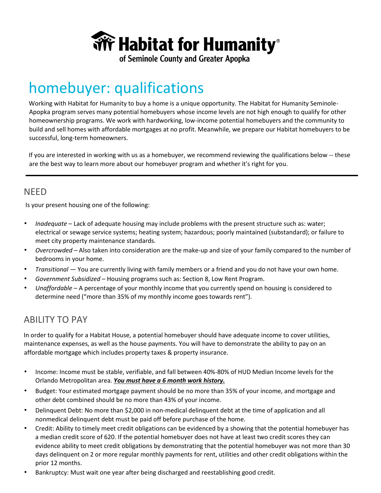

of Seminole County and Greater Apopka

# homebuyer: qualifications

Working with Habitat for Humanity to buy a home is a unique opportunity. The Habitat for Humanity Seminole-Apopka program serves many potential homebuyers whose income levels are not high enough to qualify for other homeownership programs. We work with hardworking, low-income potential homebuyers and the community to build and sell homes with affordable mortgages at no profit. Meanwhile, we prepare our Habitat homebuyers to be successful, long-term homeowners.

If you are interested in working with us as a homebuyer, we recommend reviewing the qualifications below -- these are the best way to learn more about our homebuyer program and whether it's right for you.

#### NEED

Is your present housing one of the following:

- *Inadequate* Lack of adequate housing may include problems with the present structure such as: water; electrical or sewage service systems; heating system; hazardous; poorly maintained (substandard); or failure to meet city property maintenance standards.
- *Overcrowded* Also taken into consideration are the make-up and size of your family compared to the number of bedrooms in your home.
- *Transitional*  You are currently living with family members or a friend and you do not have your own home.
- *Government Subsidized*  Housing programs such as: Section 8, Low Rent Program.
- *Unaffordable*  A percentage of your monthly income that you currently spend on housing is considered to determine need ("more than 35% of my monthly income goes towards rent").

## ABILITY TO PAY

In order to qualify for a Habitat House, a potential homebuyer should have adequate income to cover utilities, maintenance expenses, as well as the house payments. You will have to demonstrate the ability to pay on an affordable mortgage which includes property taxes & property insurance.

- Income: Income must be stable, verifiable, and fall between 40%-80% of HUD Median Income levels for the Orlando Metropolitan area. *You must have a 6 month work history.*
- Budget: Your estimated mortgage payment should be no more than 35% of your income, and mortgage and other debt combined should be no more than 43% of your income.
- Delinquent Debt: No more than \$2,000 in non-medical delinquent debt at the time of application and all nonmedical delinquent debt must be paid off before purchase of the home.
- Credit: Ability to timely meet credit obligations can be evidenced by a showing that the potential homebuyer has a median credit score of 620. If the potential homebuyer does not have at least two credit scores they can evidence ability to meet credit obligations by demonstrating that the potential homebuyer was not more than 30 days delinquent on 2 or more regular monthly payments for rent, utilities and other credit obligations within the prior 12 months.
- Bankruptcy: Must wait one year after being discharged and reestablishing good credit.